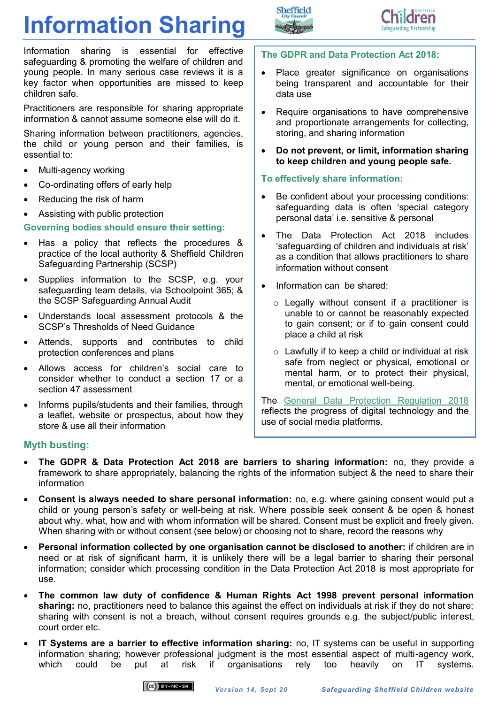# **Information Sharing**





Information sharing is essential for effective safeguarding & promoting the welfare of children and young people. In many serious case reviews it is a key factor when opportunities are missed to keep children safe.

Practitioners are responsible for sharing appropriate information & cannot assume someone else will do it.

Sharing information between practitioners, agencies, the child or young person and their families, is essential to:

- Multi-agency working
- Co-ordinating offers of early help
- Reducing the risk of harm
- Assisting with public protection

## **Governing bodies should ensure their setting:**

- Has a policy that reflects the procedures & practice of the local authority & Sheffield Children Safeguarding Partnership (SCSP)
- Supplies information to the SCSP, e.g. your safeguarding team details, via Schoolpoint 365; & the SCSP Safeguarding Annual Audit
- Understands local assessment protocols & the SCSP's Thresholds of Need Guidance
- Attends, supports and contributes to child protection conferences and plans
- Allows access for children's social care to consider whether to conduct a section 17 or a section 47 assessment
- Informs pupils/students and their families, through a leaflet, website or prospectus, about how they store & use all their information

## **The GDPR and Data Protection Act 2018:**

- Place greater significance on organisations being transparent and accountable for their data use
- Require organisations to have comprehensive and proportionate arrangements for collecting, storing, and sharing information
- **Do not prevent, or limit, information sharing to keep children and young people safe.**

# **To effectively share information:**

- Be confident about your processing conditions: safeguarding data is often 'special category personal data' i.e. sensitive & personal
- The Data Protection Act 2018 includes 'safeguarding of children and individuals at risk' as a condition that allows practitioners to share information without consent
- Information can be shared:
	- o Legally without consent if a practitioner is unable to or cannot be reasonably expected to gain consent; or if to gain consent could place a child at risk
	- $\circ$  Lawfully if to keep a child or individual at risk safe from neglect or physical, emotional or mental harm, or to protect their physical, mental, or emotional well-being.

The [General Data Protection Regulation 2018](https://ico.org.uk/for-organisations/data-protection-reform/overview-of-the-gdpr/) reflects the progress of digital technology and the use of social media platforms.

# **Myth busting:**

- **The GDPR & Data Protection Act 2018 are barriers to sharing information:** no, they provide a framework to share appropriately, balancing the rights of the information subject & the need to share their information
- **Consent is always needed to share personal information:** no, e.g. where gaining consent would put a child or young person's safety or well-being at risk. Where possible seek consent & be open & honest about why, what, how and with whom information will be shared. Consent must be explicit and freely given. When sharing with or without consent (see below) or choosing not to share, record the reasons why
- **Personal information collected by one organisation cannot be disclosed to another:** if children are in need or at risk of significant harm, it is unlikely there will be a legal barrier to sharing their personal information; consider which processing condition in the Data Protection Act 2018 is most appropriate for use.
- **The common law duty of confidence & Human Rights Act 1998 prevent personal information sharing:** no, practitioners need to balance this against the effect on individuals at risk if they do not share; sharing with consent is not a breach, without consent requires grounds e.g. the subject/public interest, court order etc.
- **IT Systems are a barrier to effective information sharing:** no, IT systems can be useful in supporting information sharing; however professional judgment is the most essential aspect of multi-agency work, which could be put at risk if organisations rely too heavily on IT systems.